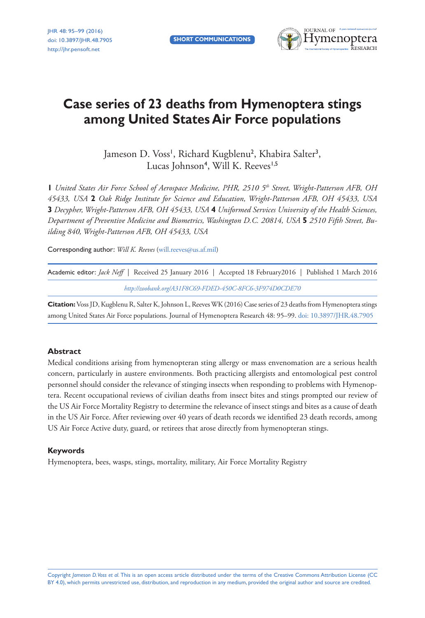

# **Case series of 23 deaths from Hymenoptera stings among United States Air Force populations**

Jameson D. Voss', Richard Kugblenu<sup>2</sup>, Khabira Salter<sup>3</sup>, Lucas Johnson<sup>4</sup>, Will K. Reeves<sup>1,5</sup>

**1** United States Air Force School of Aerospace Medicine, PHR, 2510 5<sup>th</sup> Street, Wright-Patterson AFB, OH *45433, USA* **2** *Oak Ridge Institute for Science and Education, Wright-Patterson AFB, OH 45433, USA*  **3** *Decypher, Wright-Patterson AFB, OH 45433, USA* **4** *Uniformed Services University of the Health Sciences, Department of Preventive Medicine and Biometrics, Washington D.C. 20814, USA* **5** *2510 Fifth Street, Building 840, Wright-Patterson AFB, OH 45433, USA*

Corresponding author: *Will K. Reeves* ([will.reeves@us.af.mil](mailto:will.reeves@us.af.mil))

| Academic editor: <i>Jack Neff</i>   Received 25 January 2016   Accepted 18 February 2016   Published 1 March 2016 |                                                         |  |  |  |  |  |
|-------------------------------------------------------------------------------------------------------------------|---------------------------------------------------------|--|--|--|--|--|
|                                                                                                                   | http://zoobank.org/A31F8C69-FDED-450C-8FC6-3F974D0CDE70 |  |  |  |  |  |

**Citation:** Voss JD, Kugblenu R, Salter K, Johnson L, Reeves WK (2016) Case series of 23 deaths from Hymenoptera stings among United States Air Force populations. Journal of Hymenoptera Research 48: 95–99. [doi: 10.3897/JHR.48.7905](http://dx.doi.org/10.3897/JHR.48.7905)

#### **Abstract**

Medical conditions arising from hymenopteran sting allergy or mass envenomation are a serious health concern, particularly in austere environments. Both practicing allergists and entomological pest control personnel should consider the relevance of stinging insects when responding to problems with Hymenoptera. Recent occupational reviews of civilian deaths from insect bites and stings prompted our review of the US Air Force Mortality Registry to determine the relevance of insect stings and bites as a cause of death in the US Air Force. After reviewing over 40 years of death records we identified 23 death records, among US Air Force Active duty, guard, or retirees that arose directly from hymenopteran stings.

#### **Keywords**

Hymenoptera, bees, wasps, stings, mortality, military, Air Force Mortality Registry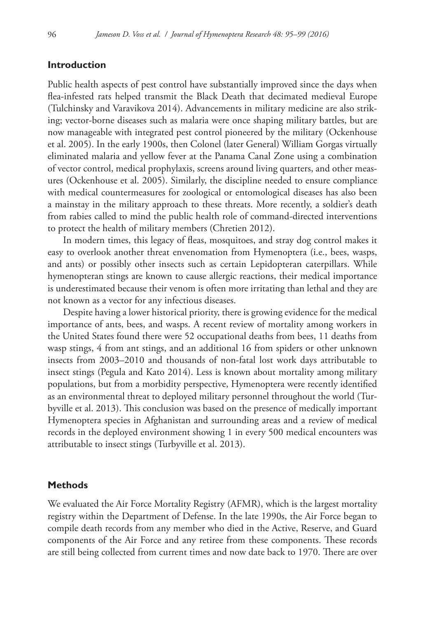## **Introduction**

Public health aspects of pest control have substantially improved since the days when flea-infested rats helped transmit the Black Death that decimated medieval Europe (Tulchinsky and Varavikova 2014). Advancements in military medicine are also striking; vector-borne diseases such as malaria were once shaping military battles, but are now manageable with integrated pest control pioneered by the military (Ockenhouse et al. 2005). In the early 1900s, then Colonel (later General) William Gorgas virtually eliminated malaria and yellow fever at the Panama Canal Zone using a combination of vector control, medical prophylaxis, screens around living quarters, and other measures (Ockenhouse et al. 2005). Similarly, the discipline needed to ensure compliance with medical countermeasures for zoological or entomological diseases has also been a mainstay in the military approach to these threats. More recently, a soldier's death from rabies called to mind the public health role of command-directed interventions to protect the health of military members (Chretien 2012).

In modern times, this legacy of fleas, mosquitoes, and stray dog control makes it easy to overlook another threat envenomation from Hymenoptera (i.e., bees, wasps, and ants) or possibly other insects such as certain Lepidopteran caterpillars. While hymenopteran stings are known to cause allergic reactions, their medical importance is underestimated because their venom is often more irritating than lethal and they are not known as a vector for any infectious diseases.

Despite having a lower historical priority, there is growing evidence for the medical importance of ants, bees, and wasps. A recent review of mortality among workers in the United States found there were 52 occupational deaths from bees, 11 deaths from wasp stings, 4 from ant stings, and an additional 16 from spiders or other unknown insects from 2003–2010 and thousands of non-fatal lost work days attributable to insect stings (Pegula and Kato 2014). Less is known about mortality among military populations, but from a morbidity perspective, Hymenoptera were recently identified as an environmental threat to deployed military personnel throughout the world (Turbyville et al. 2013). This conclusion was based on the presence of medically important Hymenoptera species in Afghanistan and surrounding areas and a review of medical records in the deployed environment showing 1 in every 500 medical encounters was attributable to insect stings (Turbyville et al. 2013).

#### **Methods**

We evaluated the Air Force Mortality Registry (AFMR), which is the largest mortality registry within the Department of Defense. In the late 1990s, the Air Force began to compile death records from any member who died in the Active, Reserve, and Guard components of the Air Force and any retiree from these components. These records are still being collected from current times and now date back to 1970. There are over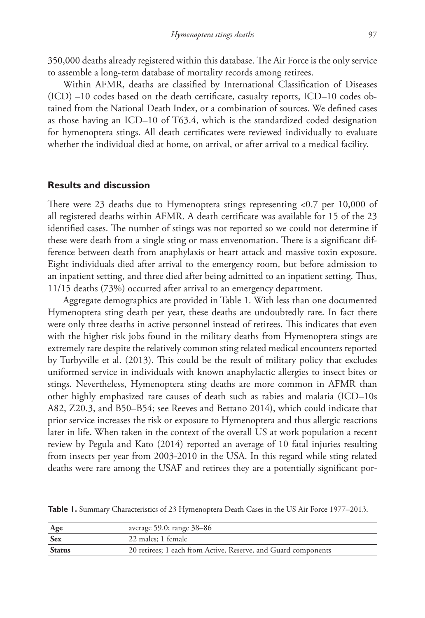350,000 deaths already registered within this database. The Air Force is the only service to assemble a long-term database of mortality records among retirees.

Within AFMR, deaths are classified by International Classification of Diseases (ICD) –10 codes based on the death certificate, casualty reports, ICD–10 codes obtained from the National Death Index, or a combination of sources. We defined cases as those having an ICD–10 of T63.4, which is the standardized coded designation for hymenoptera stings. All death certificates were reviewed individually to evaluate whether the individual died at home, on arrival, or after arrival to a medical facility.

#### **Results and discussion**

There were 23 deaths due to Hymenoptera stings representing <0.7 per 10,000 of all registered deaths within AFMR. A death certificate was available for 15 of the 23 identified cases. The number of stings was not reported so we could not determine if these were death from a single sting or mass envenomation. There is a significant difference between death from anaphylaxis or heart attack and massive toxin exposure. Eight individuals died after arrival to the emergency room, but before admission to an inpatient setting, and three died after being admitted to an inpatient setting. Thus, 11/15 deaths (73%) occurred after arrival to an emergency department.

Aggregate demographics are provided in Table 1. With less than one documented Hymenoptera sting death per year, these deaths are undoubtedly rare. In fact there were only three deaths in active personnel instead of retirees. This indicates that even with the higher risk jobs found in the military deaths from Hymenoptera stings are extremely rare despite the relatively common sting related medical encounters reported by Turbyville et al. (2013). This could be the result of military policy that excludes uniformed service in individuals with known anaphylactic allergies to insect bites or stings. Nevertheless, Hymenoptera sting deaths are more common in AFMR than other highly emphasized rare causes of death such as rabies and malaria (ICD–10s A82, Z20.3, and B50–B54; see Reeves and Bettano 2014), which could indicate that prior service increases the risk or exposure to Hymenoptera and thus allergic reactions later in life. When taken in the context of the overall US at work population a recent review by Pegula and Kato (2014) reported an average of 10 fatal injuries resulting from insects per year from 2003-2010 in the USA. In this regard while sting related deaths were rare among the USAF and retirees they are a potentially significant por-

Table I. Summary Characteristics of 23 Hymenoptera Death Cases in the US Air Force 1977–2013.

| Age    | average $59.0$ ; range $38-86$                                 |
|--------|----------------------------------------------------------------|
| Sex    | 22 males; 1 female                                             |
| Status | 20 retirees; 1 each from Active, Reserve, and Guard components |
|        |                                                                |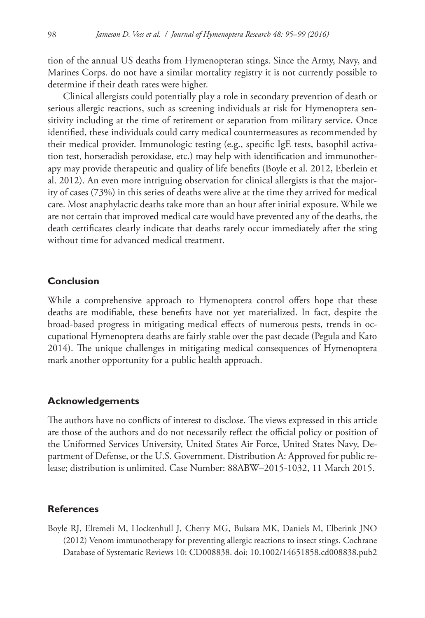tion of the annual US deaths from Hymenopteran stings. Since the Army, Navy, and Marines Corps. do not have a similar mortality registry it is not currently possible to determine if their death rates were higher.

Clinical allergists could potentially play a role in secondary prevention of death or serious allergic reactions, such as screening individuals at risk for Hymenoptera sensitivity including at the time of retirement or separation from military service. Once identified, these individuals could carry medical countermeasures as recommended by their medical provider. Immunologic testing (e.g., specific IgE tests, basophil activation test, horseradish peroxidase, etc.) may help with identification and immunotherapy may provide therapeutic and quality of life benefits (Boyle et al. 2012, Eberlein et al. 2012). An even more intriguing observation for clinical allergists is that the majority of cases (73%) in this series of deaths were alive at the time they arrived for medical care. Most anaphylactic deaths take more than an hour after initial exposure. While we are not certain that improved medical care would have prevented any of the deaths, the death certificates clearly indicate that deaths rarely occur immediately after the sting without time for advanced medical treatment.

## **Conclusion**

While a comprehensive approach to Hymenoptera control offers hope that these deaths are modifiable, these benefits have not yet materialized. In fact, despite the broad-based progress in mitigating medical effects of numerous pests, trends in occupational Hymenoptera deaths are fairly stable over the past decade (Pegula and Kato 2014). The unique challenges in mitigating medical consequences of Hymenoptera mark another opportunity for a public health approach.

#### **Acknowledgements**

The authors have no conflicts of interest to disclose. The views expressed in this article are those of the authors and do not necessarily reflect the official policy or position of the Uniformed Services University, United States Air Force, United States Navy, Department of Defense, or the U.S. Government. Distribution A: Approved for public release; distribution is unlimited. Case Number: 88ABW–2015-1032, 11 March 2015.

### **References**

Boyle RJ, Elremeli M, Hockenhull J, Cherry MG, Bulsara MK, Daniels M, Elberink JNO (2012) Venom immunotherapy for preventing allergic reactions to insect stings. Cochrane Database of Systematic Reviews 10: CD008838. [doi: 10.1002/14651858.cd008838.pub2](http://dx.doi.org/10.1002/14651858.cd008838.pub2)